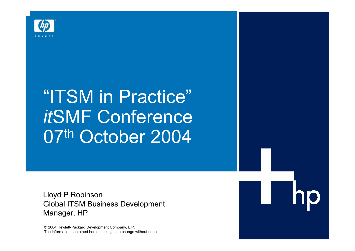

# "ITSM in Practice" *it*SMF Conference 07th October 2004

Lloyd P Robinson Global ITSM Business Development Manager, HP

© 2004 Hewlett-Packard Development Company, L.P. The information contained herein is subject to change without notice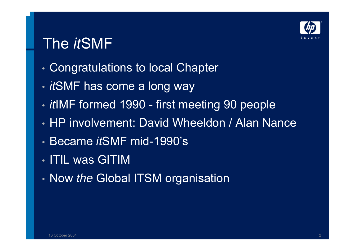

### The *it*SMF

- •Congratulations to local Chapter
- •*it*SMF has come a long way
- *it*IMF formed 1990 first meeting 90 people
- HP involvement: David Wheeldon / Alan Nance
- Became *it*SMF mid-1990's
- ITIL was GITIM
- •Now *the* Global ITSM organisation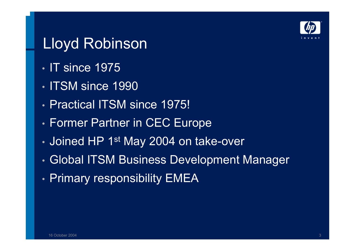

#### Lloyd Robinson

- IT since 1975
- ITSM since 1990
- Practical ITSM since 1975!
- •Former Partner in CEC Europe
- •• Joined HP 1st May 2004 on take-over
- •Global ITSM Business Development Manager
- • $\cdot$  Primary responsibility EMEA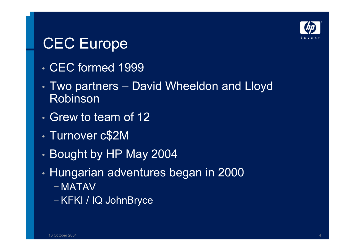

## CEC Europe

- CEC formed 1999
- • Two partners – David Wheeldon and Lloyd Robinson
- Grew to team of 12
- Turnover c\$2M
- •Bought by HP May 2004
- • Hungarian adventures began in 2000
	- − MATAV
	- − KFKI / IQ JohnBryce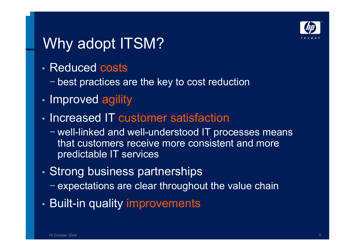

## Why adopt ITSM?

- Reduced costs
	- − best practices are the key to cost reduction
- •• Improved agility
- Increased IT customer satisfaction
	- − well-linked and well-understood IT processes means that customers receive more consistent and more predictable IT services
- •• Strong business partnerships
	- − expectations are clear throughout the value chain
- • $\bm{\cdot}$  Built-in quality improvements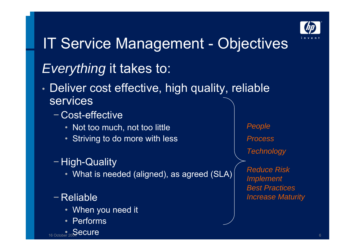

# IT Service Management - Objectives

#### *Everything* it takes to:

- • Deliver cost effective, high quality, reliable services
	- − Cost-effective
		- Not too much, not too little
		- Striving to do more with less

#### − High-Quality

• What is needed (aligned), as agreed (SLA)

#### − Reliable

- When you need it
- •Performs



*People ProcessTechnology Reduce RiskImplement Best Practices Increase Maturity*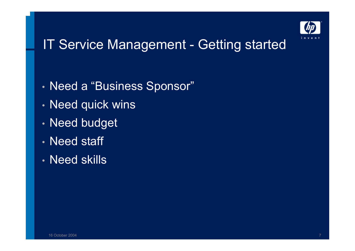

#### **IT Service Management - Getting started**

- •• Need a "Business Sponsor"
- •Need quick wins
- •Need budget
- Need staff
- Need skills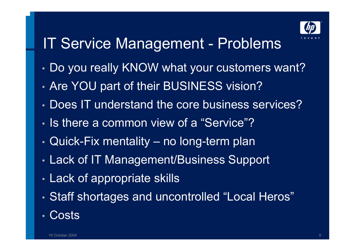

## IT Service Management - Problems

- •Do you really KNOW what your customers want?
- •Are YOU part of their BUSINESS vision?
- Does IT understand the core business services?
- Is there a common view of a "Service"?
- •Quick-Fix mentality – no long-term plan
- •Lack of IT Management/Business Support
- •Lack of appropriate skills
- •Staff shortages and uncontrolled "Local Heros"
- •**Costs**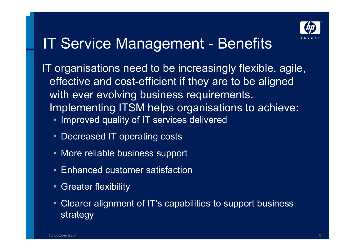

#### IT Service Management - Benefits

IT organisations need to be increasingly flexible, agile, effective and cost-efficient if they are to be aligned with ever evolving business requirements. Implementing ITSM helps organisations to achieve:

- Improved quality of IT services delivered
- Decreased IT operating costs
- More reliable business support
- Enhanced customer satisfaction
- Greater flexibility
- Clearer alignment of IT's capabilities to support business strategy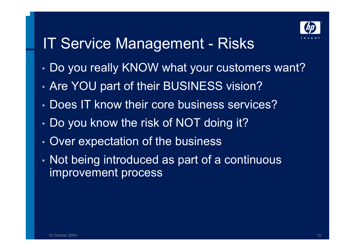

#### IT Service Management - Risks

- •Do you really KNOW what your customers want?
- •Are YOU part of their BUSINESS vision?
- Does IT know their core business services?
- •Do you know the risk of NOT doing it?
- •• Over expectation of the business
- • Not being introduced as part of a continuous improvement process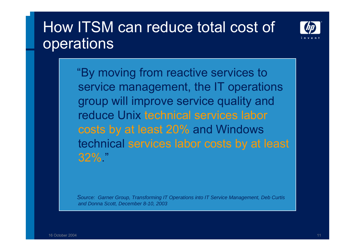#### How ITSM can reduce total cost of **operations**



"By moving from reactive services to service management, the IT operations group will improve service quality and reduce Unix technical services labor costs by at least 20% and Windows technical services labor costs by at least 32%."

*Source: Garner Group, Transforming IT Operations into IT Service Management, Deb Curtis and Donna Scott, December 8-10, 2003*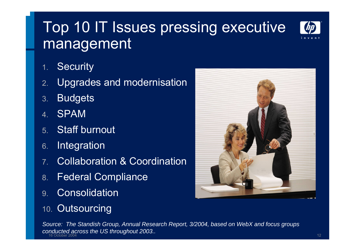## Top 10 IT Issues pressing executive management



- 1.**Security**
- 2.Upgrades and modernisation
- 3.**Budgets**
- 4.SPAM
- 5.Staff burnout
- 6.Integration
- 7.Collaboration & Coordination
- 8.Federal Compliance
- 9.Consolidation
- 10. Outsourcing



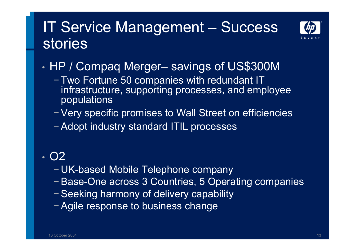#### IT Service Management – Success stories



•HP / Compaq Merger– savings of US\$300M

− Two Fortune 50 companies with redundant IT infrastructure, supporting processes, and employee populations

− Very specific promises to Wall Street on efficiencies

− Adopt industry standard ITIL processes

#### • O2

- − UK-based Mobile Telephone company
- − Base-One across 3 Countries, 5 Operating companies
- − Seeking harmony of delivery capability
- − Agile response to business change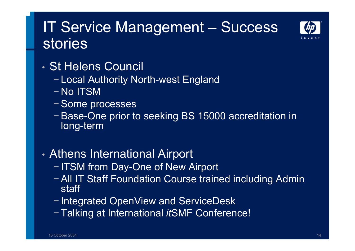#### IT Service Management – Success stories



- St Helens Council
	- − Local Authority North-west England
	- − No ITSM
	- − Some processes
	- − Base-One prior to seeking BS 15000 accreditation in long-term

#### •Athens International Airport

- − ITSM from Day-One of New Airport
- − All IT Staff Foundation Course trained including Admin staff
- − Integrated OpenView and ServiceDesk
- − Talking at International *it*SMF Conference!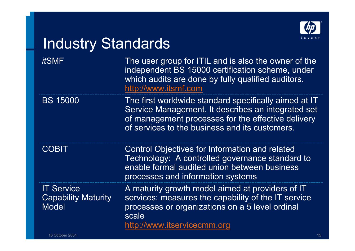

#### Industry Standards

*it*SMF

 The user group for ITIL and is also the owner of the independent BS 15000 certification scheme, under which audits are done by fully qualified auditors. http://www.itsmf.com

BS 15000 The first worldwide standard specifically aimed at IT Service Management. It describes an integrated set of management processes for the effective delivery of services to the business and its customers.

**COBIT** 

 Control Objectives for Information and related Technology: A controlled governance standard to enable formal audited union between business processes and information systems

IT Service Capability Maturity Model

A maturity growth model aimed at providers of IT services: measures the capability of the IT service processes or organizations on a 5 level ordinal scalehttp://www.itservicecmm.org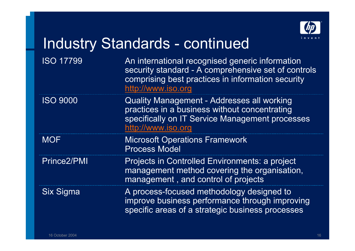

#### Industry Standards - continued

ISO 17799

**MOF** 

 An international recognised generic information security standard - A comprehensive set of controls comprising best practices in information security http://www.iso.org

ISO 9000 Quality Management - Addresses all working practices in a business without concentrating specifically on IT Service Management processes http://www.iso.org

> Microsoft Operations Framework Process Model

Prince2/PMI Projects in Controlled Environments: a project management method covering the organisation, management , and control of projects

Six Sigma A process-focused methodology designed to improve business performance through improving specific areas of a strategic business processes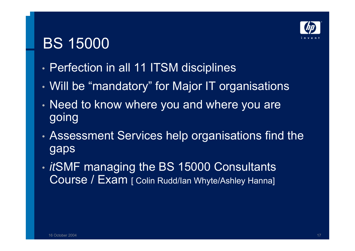

#### BS 15000

- •Perfection in all 11 ITSM disciplines
- •Will be "mandatory" for Major IT organisations
- • Need to know where you and where you are going
- • Assessment Services help organisations find the gaps
- • *it*SMF managing the BS 15000 Consultants Course / Exam [ Colin Rudd/Ian Whyte/Ashley Hanna]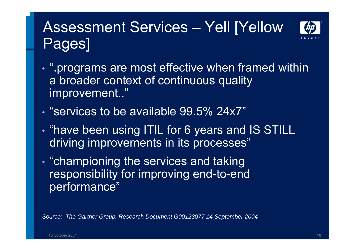#### Assessment Services – Yell [Yellow Pages]



- • ".programs are most effective when framed within a broader context of continuous quality improvement.."
- "services to be available 99.5% 24x7"
- • $\cdot$  "have been using ITIL for 6 years and IS STILL driving improvements in its processes"
- •• "championing the services and taking responsibility for improving end-to-end performance"

*Source: The Gartner Group, Research Document G00123077 14 September 2004*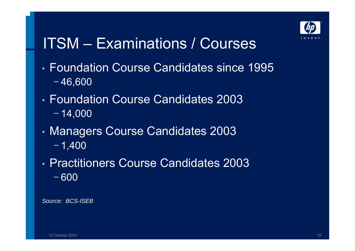

### ITSM – Examinations / Courses

- Foundation Course Candidates since 1995− 46,600
- Foundation Course Candidates 2003− 14,000
- • Managers Course Candidates 2003 − 1,400
- Practitioners Course Candidates 2003− 600

*Source: BCS-ISEB*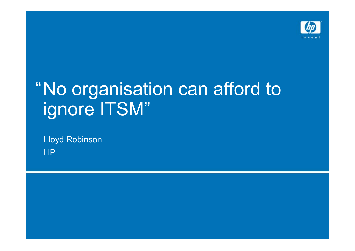

# "No organisation can afford to ignore ITSM"

Lloyd Robinson HP